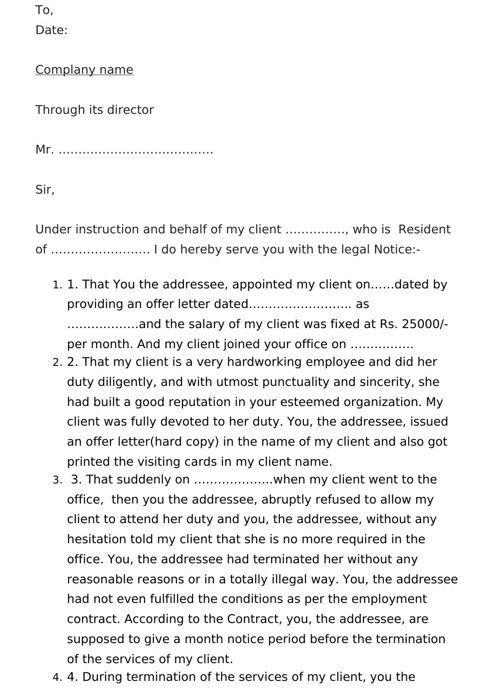To,

Date:

Complany name

Through its director

Mr. …………………………………

Sir,

Under instruction and behalf of my client ……………, who is Resident of ……………………. I do hereby serve you with the legal Notice:-

- 1. 1. That You the addressee, appointed my client on……dated by providing an offer letter dated…………………….. as ………………and the salary of my client was fixed at Rs. 25000/ per month. And my client joined your office on …………….
- 2. 2. That my client is a very hardworking employee and did her duty diligently, and with utmost punctuality and sincerity, she had built a good reputation in your esteemed organization. My client was fully devoted to her duty. You, the addressee, issued an offer letter(hard copy) in the name of my client and also got printed the visiting cards in my client name.
- 3. 3. That suddenly on ………………..when my client went to the office, then you the addressee, abruptly refused to allow my client to attend her duty and you, the addressee, without any hesitation told my client that she is no more required in the office. You, the addressee had terminated her without any reasonable reasons or in a totally illegal way. You, the addressee had not even fulfilled the conditions as per the employment contract. According to the Contract, you, the addressee, are supposed to give a month notice period before the termination of the services of my client.
- 4. 4. During termination of the services of my client, you the